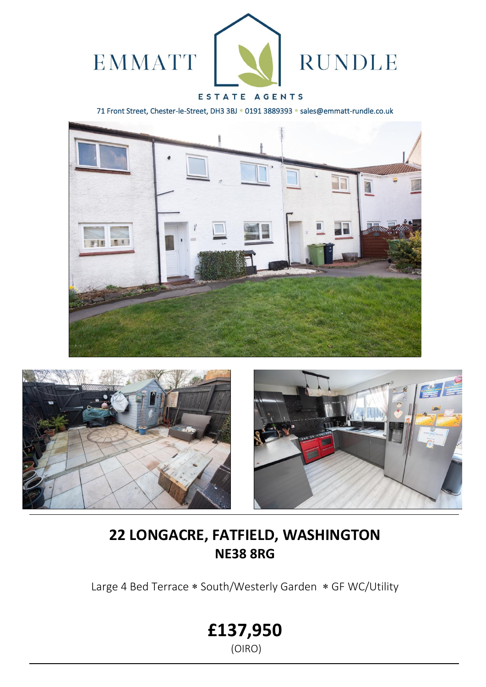

## ESTATE AGENTS

71 Front Street, Chester-le-Street, DH3 3BJ \* 0191 3889393 \* sales@emmatt-rundle.co.uk







# **22 LONGACRE, FATFIELD, WASHINGTON NE38 8RG**

Large 4 Bed Terrace \* South/Westerly Garden \* GF WC/Utility

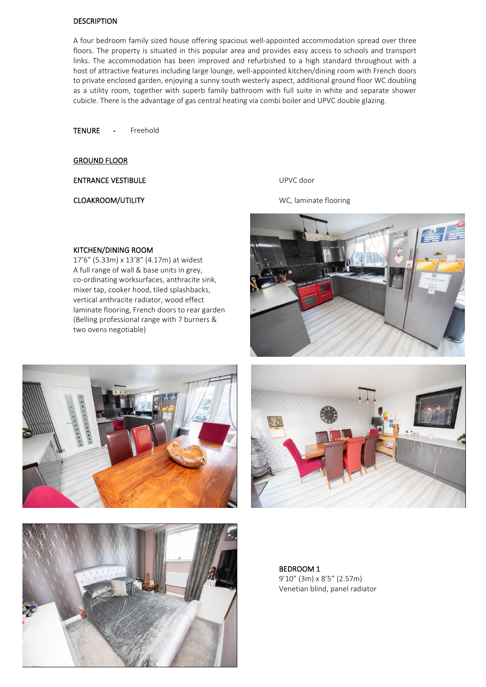#### DESCRIPTION

A four bedroom family sized house offering spacious well-appointed accommodation spread over three floors. The property is situated in this popular area and provides easy access to schools and transport links. The accommodation has been improved and refurbished to a high standard throughout with a host of attractive features including large lounge, well-appointed kitchen/dining room with French doors to private enclosed garden, enjoying a sunny south westerly aspect, additional ground floor WC doubling as a utility room, together with superb family bathroom with full suite in white and separate shower cubicle. There is the advantage of gas central heating via combi boiler and UPVC double glazing.

TENURE - Freehold

GROUND FLOOR

ENTRANCE VESTIBULE UPVC door

CLOAKROOM/UTILITY **CLOAKROOM/UTILITY WG**, laminate flooring

### KITCHEN/DINING ROOM

17'6" (5.33m) x 13'8" (4.17m) at widest A full range of wall & base units in grey, co-ordinating worksurfaces, anthracite sink, mixer tap, cooker hood, tiled splashbacks, vertical anthracite radiator, wood effect laminate flooring, French doors to rear garden (Belling professional range with 7 burners & two ovens negotiable)









BEDROOM 1 9'10" (3m) x 8'5" (2.57m) Venetian blind, panel radiator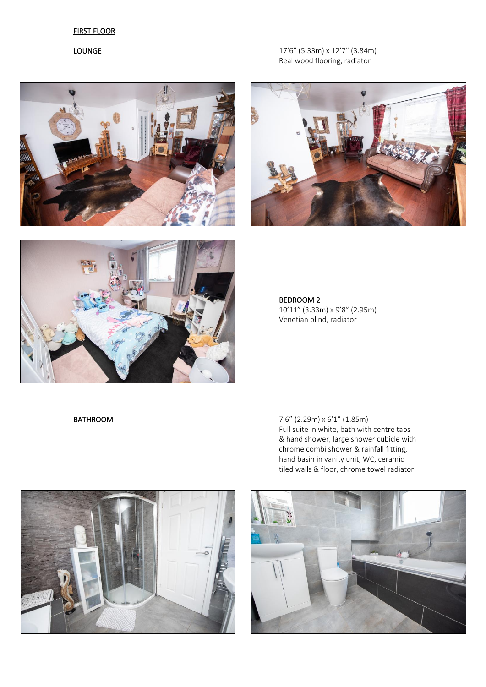# **FIRST FLOOR**

## **LOUNGE**

 $17'6''$  (5.33m) x  $12'7''$  (3.84m) Real wood flooring, radiator







BEDROOM 2 10'11" (3.33m) x 9'8" (2.95m) Venetian blind, radiator

**BATHROOM** 7'6" (2.29m) x 6'1" (1.85m) Full suite in white, bath with centre taps & hand shower, large shower cubicle with chrome combi shower & rainfall fitting, hand basin in vanity unit, WC, ceramic tiled walls & floor, chrome towel radiator